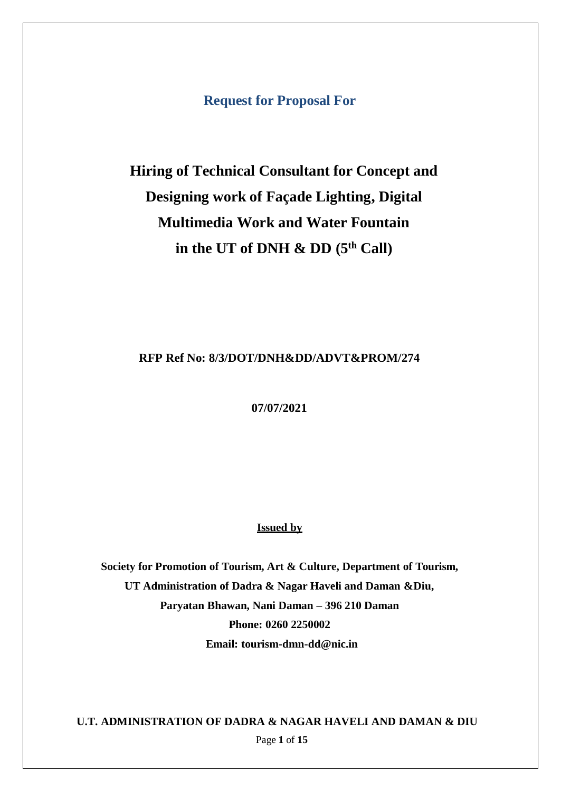**Request for Proposal For**

# **Hiring of Technical Consultant for Concept and Designing work of Façade Lighting, Digital Multimedia Work and Water Fountain in the UT of DNH & DD (5 th Call)**

#### **RFP Ref No: 8/3/DOT/DNH&DD/ADVT&PROM/274**

**07/07/2021**

#### **Issued by**

**Society for Promotion of Tourism, Art & Culture, Department of Tourism, UT Administration of Dadra & Nagar Haveli and Daman &Diu, Paryatan Bhawan, Nani Daman – 396 210 Daman Phone: 0260 2250002 Email: [tourism-dmn-dd@nic.in](mailto:tourism-dmn-dd@nic.in)**

Page **1** of **15 U.T. ADMINISTRATION OF DADRA & NAGAR HAVELI AND DAMAN & DIU**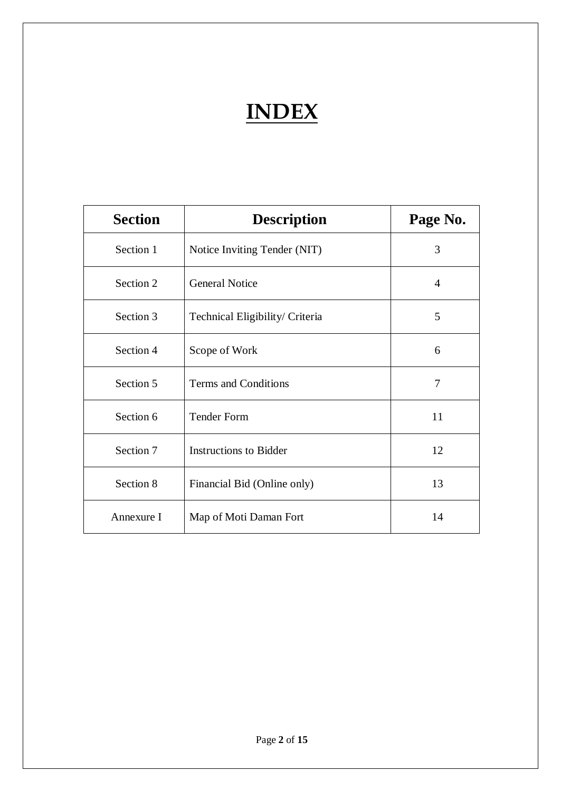# **INDEX**

| <b>Section</b> | <b>Description</b>              | Page No.       |
|----------------|---------------------------------|----------------|
| Section 1      | Notice Inviting Tender (NIT)    | 3              |
| Section 2      | <b>General Notice</b>           | $\overline{A}$ |
| Section 3      | Technical Eligibility/ Criteria | 5              |
| Section 4      | Scope of Work                   | 6              |
| Section 5      | Terms and Conditions            | 7              |
| Section 6      | <b>Tender Form</b>              | 11             |
| Section 7      | <b>Instructions to Bidder</b>   | 12             |
| Section 8      | Financial Bid (Online only)     | 13             |
| Annexure I     | Map of Moti Daman Fort          | 14             |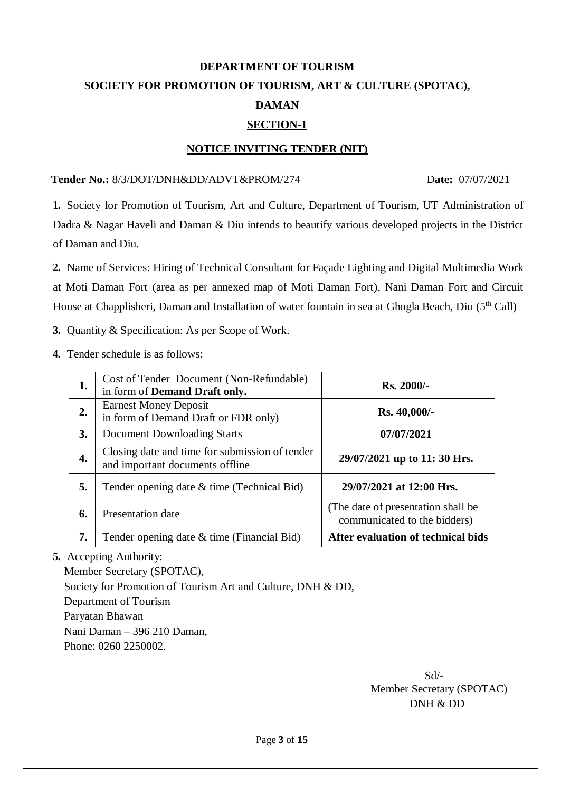# **DEPARTMENT OF TOURISM SOCIETY FOR PROMOTION OF TOURISM, ART & CULTURE (SPOTAC), DAMAN SECTION-1**

#### **NOTICE INVITING TENDER (NIT)**

#### **Tender No.:** 8/3/DOT/DNH&DD/ADVT&PROM/274 D**ate:** 07/07/2021

**1.** Society for Promotion of Tourism, Art and Culture, Department of Tourism, UT Administration of Dadra & Nagar Haveli and Daman & Diu intends to beautify various developed projects in the District of Daman and Diu.

**2.** Name of Services: Hiring of Technical Consultant for Façade Lighting and Digital Multimedia Work at Moti Daman Fort (area as per annexed map of Moti Daman Fort), Nani Daman Fort and Circuit House at Chapplisheri, Daman and Installation of water fountain in sea at Ghogla Beach, Diu (5th Call)

**3.** Quantity & Specification: As per Scope of Work.

**4.** Tender schedule is as follows:

| 1. | Cost of Tender Document (Non-Refundable)<br>in form of <b>Demand Draft only.</b>  | <b>Rs. 2000/-</b>                                                   |  |
|----|-----------------------------------------------------------------------------------|---------------------------------------------------------------------|--|
| 2. | <b>Earnest Money Deposit</b><br>in form of Demand Draft or FDR only)              | <b>Rs. 40,000/-</b>                                                 |  |
| 3. | <b>Document Downloading Starts</b>                                                | 07/07/2021                                                          |  |
| 4. | Closing date and time for submission of tender<br>and important documents offline | 29/07/2021 up to 11: 30 Hrs.                                        |  |
| 5. | Tender opening date & time (Technical Bid)                                        | 29/07/2021 at 12:00 Hrs.                                            |  |
| 6. | <b>Presentation date</b>                                                          | (The date of presentation shall be)<br>communicated to the bidders) |  |
| 7. | Tender opening date & time (Financial Bid)                                        | After evaluation of technical bids                                  |  |

**5.** Accepting Authority:

Member Secretary (SPOTAC),

Society for Promotion of Tourism Art and Culture, DNH & DD,

Department of Tourism

Paryatan Bhawan

Nani Daman – 396 210 Daman,

Phone: 0260 2250002.

Sd/- Member Secretary (SPOTAC) DNH & DD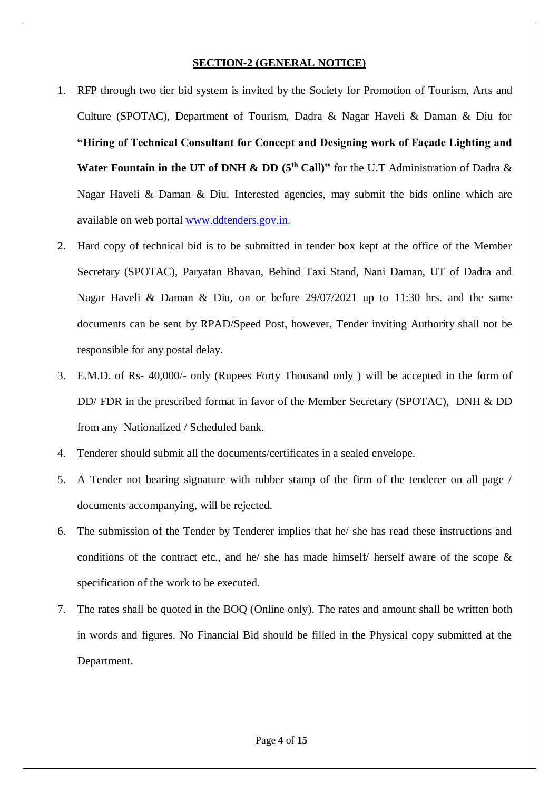#### **SECTION-2 (GENERAL NOTICE)**

- 1. RFP through two tier bid system is invited by the Society for Promotion of Tourism, Arts and Culture (SPOTAC), Department of Tourism, Dadra & Nagar Haveli & Daman & Diu for **"Hiring of Technical Consultant for Concept and Designing work of Façade Lighting and**  Water Fountain in the UT of DNH & DD (5<sup>th</sup> Call)" for the U.T Administration of Dadra & Nagar Haveli & Daman & Diu. Interested agencies, may submit the bids online which are available on web portal [www.ddtenders.gov.in.](http://www.ddtenders.gov.in/)
- 2. Hard copy of technical bid is to be submitted in tender box kept at the office of the Member Secretary (SPOTAC), Paryatan Bhavan, Behind Taxi Stand, Nani Daman, UT of Dadra and Nagar Haveli & Daman & Diu, on or before 29/07/2021 up to 11:30 hrs. and the same documents can be sent by RPAD/Speed Post, however, Tender inviting Authority shall not be responsible for any postal delay.
- 3. E.M.D. of Rs- 40,000/- only (Rupees Forty Thousand only ) will be accepted in the form of DD/ FDR in the prescribed format in favor of the Member Secretary (SPOTAC), DNH & DD from any Nationalized / Scheduled bank.
- 4. Tenderer should submit all the documents/certificates in a sealed envelope.
- 5. A Tender not bearing signature with rubber stamp of the firm of the tenderer on all page / documents accompanying, will be rejected.
- 6. The submission of the Tender by Tenderer implies that he/ she has read these instructions and conditions of the contract etc., and he/ she has made himself/ herself aware of the scope & specification of the work to be executed.
- 7. The rates shall be quoted in the BOQ (Online only). The rates and amount shall be written both in words and figures. No Financial Bid should be filled in the Physical copy submitted at the Department.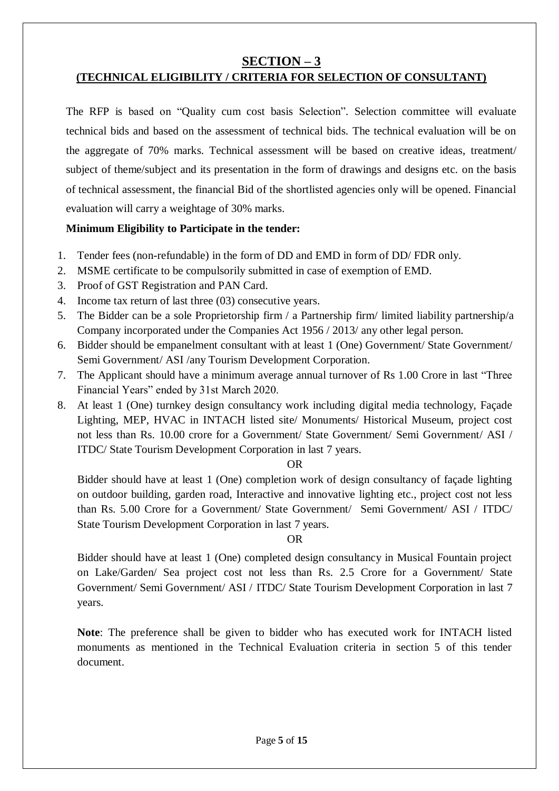### **SECTION – 3**

### **(TECHNICAL ELIGIBILITY / CRITERIA FOR SELECTION OF CONSULTANT)**

The RFP is based on "Quality cum cost basis Selection". Selection committee will evaluate technical bids and based on the assessment of technical bids. The technical evaluation will be on the aggregate of 70% marks. Technical assessment will be based on creative ideas, treatment/ subject of theme/subject and its presentation in the form of drawings and designs etc. on the basis of technical assessment, the financial Bid of the shortlisted agencies only will be opened. Financial evaluation will carry a weightage of 30% marks.

#### **Minimum Eligibility to Participate in the tender:**

- 1. Tender fees (non-refundable) in the form of DD and EMD in form of DD/ FDR only.
- 2. MSME certificate to be compulsorily submitted in case of exemption of EMD.
- 3. Proof of GST Registration and PAN Card.
- 4. Income tax return of last three (03) consecutive years.
- 5. The Bidder can be a sole Proprietorship firm / a Partnership firm limited liability partnership/a Company incorporated under the Companies Act 1956 / 2013/ any other legal person.
- 6. Bidder should be empanelment consultant with at least 1 (One) Government/ State Government/ Semi Government/ ASI /any Tourism Development Corporation.
- 7. The Applicant should have a minimum average annual turnover of Rs 1.00 Crore in last "Three Financial Years" ended by 31st March 2020.
- 8. At least 1 (One) turnkey design consultancy work including digital media technology, Façade Lighting, MEP, HVAC in INTACH listed site/ Monuments/ Historical Museum, project cost not less than Rs. 10.00 crore for a Government/ State Government/ Semi Government/ ASI / ITDC/ State Tourism Development Corporation in last 7 years.

#### OR

Bidder should have at least 1 (One) completion work of design consultancy of façade lighting on outdoor building, garden road, Interactive and innovative lighting etc., project cost not less than Rs. 5.00 Crore for a Government/ State Government/ Semi Government/ ASI / ITDC/ State Tourism Development Corporation in last 7 years.

#### OR

Bidder should have at least 1 (One) completed design consultancy in Musical Fountain project on Lake/Garden/ Sea project cost not less than Rs. 2.5 Crore for a Government/ State Government/ Semi Government/ ASI / ITDC/ State Tourism Development Corporation in last 7 years.

**Note**: The preference shall be given to bidder who has executed work for INTACH listed monuments as mentioned in the Technical Evaluation criteria in section 5 of this tender document.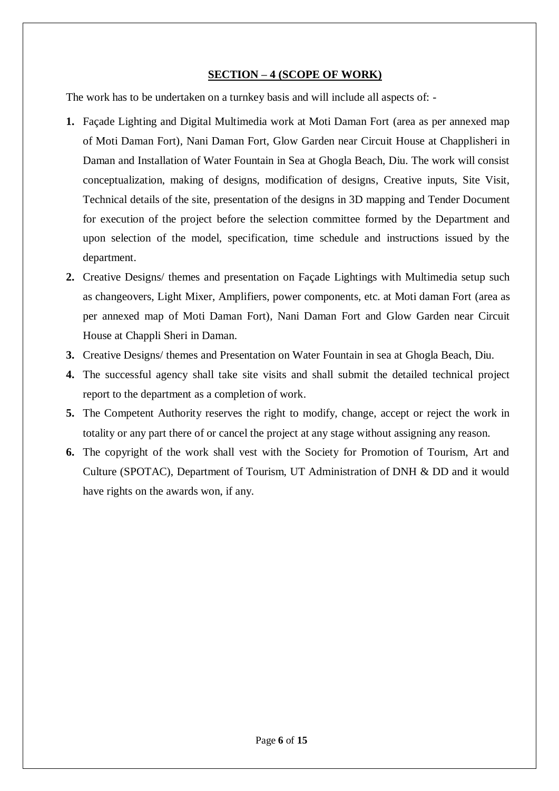#### **SECTION – 4 (SCOPE OF WORK)**

The work has to be undertaken on a turnkey basis and will include all aspects of: -

- **1.** Façade Lighting and Digital Multimedia work at Moti Daman Fort (area as per annexed map of Moti Daman Fort), Nani Daman Fort, Glow Garden near Circuit House at Chapplisheri in Daman and Installation of Water Fountain in Sea at Ghogla Beach, Diu. The work will consist conceptualization, making of designs, modification of designs, Creative inputs, Site Visit, Technical details of the site, presentation of the designs in 3D mapping and Tender Document for execution of the project before the selection committee formed by the Department and upon selection of the model, specification, time schedule and instructions issued by the department.
- **2.** Creative Designs/ themes and presentation on Façade Lightings with Multimedia setup such as changeovers, Light Mixer, Amplifiers, power components, etc. at Moti daman Fort (area as per annexed map of Moti Daman Fort), Nani Daman Fort and Glow Garden near Circuit House at Chappli Sheri in Daman.
- **3.** Creative Designs/ themes and Presentation on Water Fountain in sea at Ghogla Beach, Diu.
- **4.** The successful agency shall take site visits and shall submit the detailed technical project report to the department as a completion of work.
- **5.** The Competent Authority reserves the right to modify, change, accept or reject the work in totality or any part there of or cancel the project at any stage without assigning any reason.
- **6.** The copyright of the work shall vest with the Society for Promotion of Tourism, Art and Culture (SPOTAC), Department of Tourism, UT Administration of DNH & DD and it would have rights on the awards won, if any.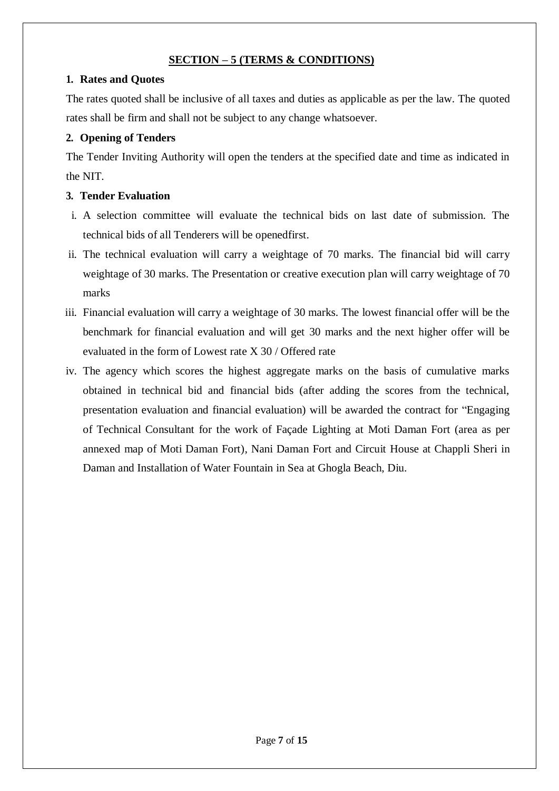#### **SECTION – 5 (TERMS & CONDITIONS)**

#### **1. Rates and Quotes**

The rates quoted shall be inclusive of all taxes and duties as applicable as per the law. The quoted rates shall be firm and shall not be subject to any change whatsoever.

#### **2. Opening of Tenders**

The Tender Inviting Authority will open the tenders at the specified date and time as indicated in the NIT.

#### **3. Tender Evaluation**

- i. A selection committee will evaluate the technical bids on last date of submission. The technical bids of all Tenderers will be openedfirst.
- ii. The technical evaluation will carry a weightage of 70 marks. The financial bid will carry weightage of 30 marks. The Presentation or creative execution plan will carry weightage of 70 marks
- iii. Financial evaluation will carry a weightage of 30 marks. The lowest financial offer will be the benchmark for financial evaluation and will get 30 marks and the next higher offer will be evaluated in the form of Lowest rate X 30 / Offered rate
- iv. The agency which scores the highest aggregate marks on the basis of cumulative marks obtained in technical bid and financial bids (after adding the scores from the technical, presentation evaluation and financial evaluation) will be awarded the contract for "Engaging of Technical Consultant for the work of Façade Lighting at Moti Daman Fort (area as per annexed map of Moti Daman Fort), Nani Daman Fort and Circuit House at Chappli Sheri in Daman and Installation of Water Fountain in Sea at Ghogla Beach, Diu.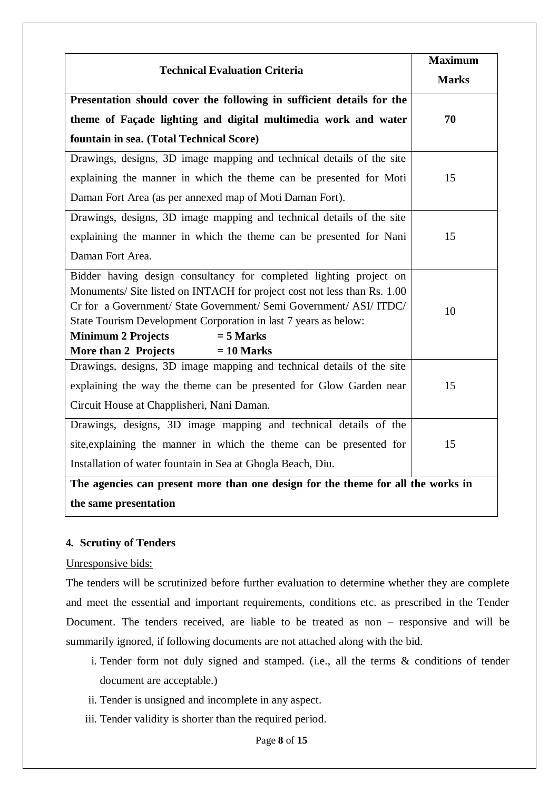| <b>Technical Evaluation Criteria</b>                                                                                                                                                                                                                                                                                                                                        | <b>Maximum</b><br><b>Marks</b> |
|-----------------------------------------------------------------------------------------------------------------------------------------------------------------------------------------------------------------------------------------------------------------------------------------------------------------------------------------------------------------------------|--------------------------------|
| Presentation should cover the following in sufficient details for the                                                                                                                                                                                                                                                                                                       |                                |
| theme of Façade lighting and digital multimedia work and water                                                                                                                                                                                                                                                                                                              | 70                             |
| fountain in sea. (Total Technical Score)                                                                                                                                                                                                                                                                                                                                    |                                |
| Drawings, designs, 3D image mapping and technical details of the site                                                                                                                                                                                                                                                                                                       |                                |
| explaining the manner in which the theme can be presented for Moti                                                                                                                                                                                                                                                                                                          | 15                             |
| Daman Fort Area (as per annexed map of Moti Daman Fort).                                                                                                                                                                                                                                                                                                                    |                                |
| Drawings, designs, 3D image mapping and technical details of the site                                                                                                                                                                                                                                                                                                       |                                |
| explaining the manner in which the theme can be presented for Nani                                                                                                                                                                                                                                                                                                          | 15                             |
| Daman Fort Area.                                                                                                                                                                                                                                                                                                                                                            |                                |
| Bidder having design consultancy for completed lighting project on<br>Monuments/ Site listed on INTACH for project cost not less than Rs. 1.00<br>Cr for a Government/ State Government/ Semi Government/ ASI/ ITDC/<br>State Tourism Development Corporation in last 7 years as below:<br><b>Minimum 2 Projects</b><br>$= 5$ Marks<br>More than 2 Projects<br>$= 10$ Marks | 10                             |
| Drawings, designs, 3D image mapping and technical details of the site                                                                                                                                                                                                                                                                                                       |                                |
| explaining the way the theme can be presented for Glow Garden near<br>Circuit House at Chapplisheri, Nani Daman.                                                                                                                                                                                                                                                            | 15                             |
| Drawings, designs, 3D image mapping and technical details of the                                                                                                                                                                                                                                                                                                            |                                |
| site, explaining the manner in which the theme can be presented for                                                                                                                                                                                                                                                                                                         | 15                             |
| Installation of water fountain in Sea at Ghogla Beach, Diu.                                                                                                                                                                                                                                                                                                                 |                                |
| The agencies can present more than one design for the theme for all the works in                                                                                                                                                                                                                                                                                            |                                |
| the same presentation                                                                                                                                                                                                                                                                                                                                                       |                                |

#### **4. Scrutiny of Tenders**

#### Unresponsive bids:

The tenders will be scrutinized before further evaluation to determine whether they are complete and meet the essential and important requirements, conditions etc. as prescribed in the Tender Document. The tenders received, are liable to be treated as non – responsive and will be summarily ignored, if following documents are not attached along with the bid.

- i. Tender form not duly signed and stamped. (i.e., all the terms & conditions of tender document are acceptable.)
- ii. Tender is unsigned and incomplete in any aspect.
- iii. Tender validity is shorter than the required period.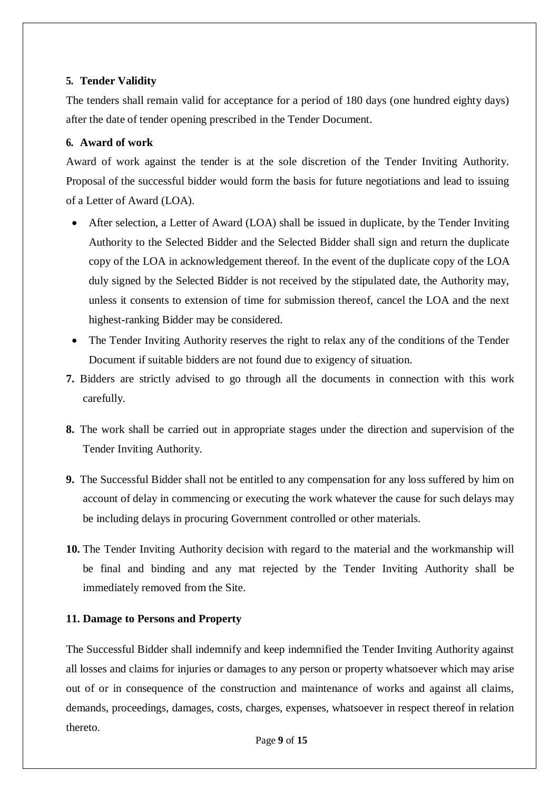#### **5. Tender Validity**

The tenders shall remain valid for acceptance for a period of 180 days (one hundred eighty days) after the date of tender opening prescribed in the Tender Document.

#### **6. Award of work**

Award of work against the tender is at the sole discretion of the Tender Inviting Authority. Proposal of the successful bidder would form the basis for future negotiations and lead to issuing of a Letter of Award (LOA).

- After selection, a Letter of Award (LOA) shall be issued in duplicate, by the Tender Inviting Authority to the Selected Bidder and the Selected Bidder shall sign and return the duplicate copy of the LOA in acknowledgement thereof. In the event of the duplicate copy of the LOA duly signed by the Selected Bidder is not received by the stipulated date, the Authority may, unless it consents to extension of time for submission thereof, cancel the LOA and the next highest-ranking Bidder may be considered.
- The Tender Inviting Authority reserves the right to relax any of the conditions of the Tender Document if suitable bidders are not found due to exigency of situation.
- **7.** Bidders are strictly advised to go through all the documents in connection with this work carefully.
- **8.** The work shall be carried out in appropriate stages under the direction and supervision of the Tender Inviting Authority.
- **9.** The Successful Bidder shall not be entitled to any compensation for any loss suffered by him on account of delay in commencing or executing the work whatever the cause for such delays may be including delays in procuring Government controlled or other materials.
- **10.** The Tender Inviting Authority decision with regard to the material and the workmanship will be final and binding and any mat rejected by the Tender Inviting Authority shall be immediately removed from the Site.

#### **11. Damage to Persons and Property**

The Successful Bidder shall indemnify and keep indemnified the Tender Inviting Authority against all losses and claims for injuries or damages to any person or property whatsoever which may arise out of or in consequence of the construction and maintenance of works and against all claims, demands, proceedings, damages, costs, charges, expenses, whatsoever in respect thereof in relation thereto.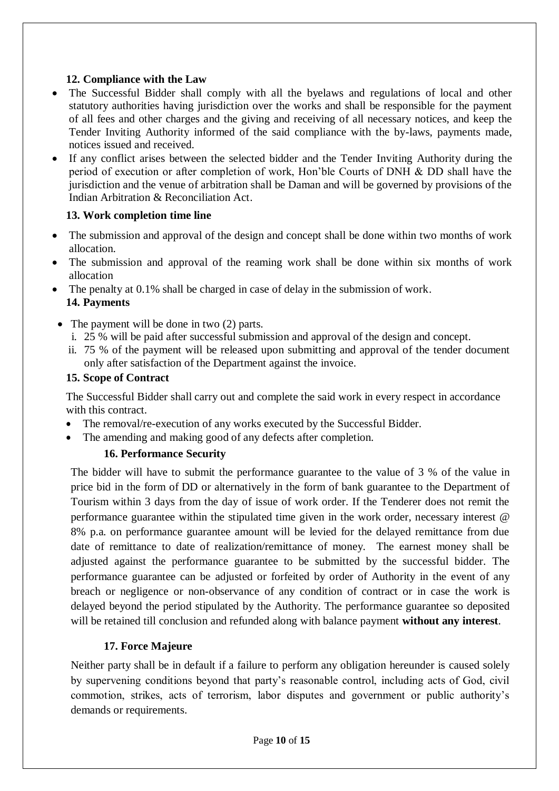#### **12. Compliance with the Law**

- The Successful Bidder shall comply with all the byelaws and regulations of local and other statutory authorities having jurisdiction over the works and shall be responsible for the payment of all fees and other charges and the giving and receiving of all necessary notices, and keep the Tender Inviting Authority informed of the said compliance with the by-laws, payments made, notices issued and received.
- If any conflict arises between the selected bidder and the Tender Inviting Authority during the period of execution or after completion of work, Hon'ble Courts of DNH & DD shall have the jurisdiction and the venue of arbitration shall be Daman and will be governed by provisions of the Indian Arbitration & Reconciliation Act.

#### **13. Work completion time line**

- The submission and approval of the design and concept shall be done within two months of work allocation.
- The submission and approval of the reaming work shall be done within six months of work allocation
- The penalty at 0.1% shall be charged in case of delay in the submission of work. **14. Payments**
- The payment will be done in two (2) parts.
	- i. 25 % will be paid after successful submission and approval of the design and concept.
	- ii. 75 % of the payment will be released upon submitting and approval of the tender document only after satisfaction of the Department against the invoice.

#### **15. Scope of Contract**

The Successful Bidder shall carry out and complete the said work in every respect in accordance with this contract.

- The removal/re-execution of any works executed by the Successful Bidder.
- The amending and making good of any defects after completion.

#### **16. Performance Security**

The bidder will have to submit the performance guarantee to the value of 3 % of the value in price bid in the form of DD or alternatively in the form of bank guarantee to the Department of Tourism within 3 days from the day of issue of work order. If the Tenderer does not remit the performance guarantee within the stipulated time given in the work order, necessary interest @ 8% p.a. on performance guarantee amount will be levied for the delayed remittance from due date of remittance to date of realization/remittance of money. The earnest money shall be adjusted against the performance guarantee to be submitted by the successful bidder. The performance guarantee can be adjusted or forfeited by order of Authority in the event of any breach or negligence or non-observance of any condition of contract or in case the work is delayed beyond the period stipulated by the Authority. The performance guarantee so deposited will be retained till conclusion and refunded along with balance payment **without any interest**.

#### **17. Force Majeure**

Neither party shall be in default if a failure to perform any obligation hereunder is caused solely by supervening conditions beyond that party's reasonable control, including acts of God, civil commotion, strikes, acts of terrorism, labor disputes and government or public authority's demands or requirements.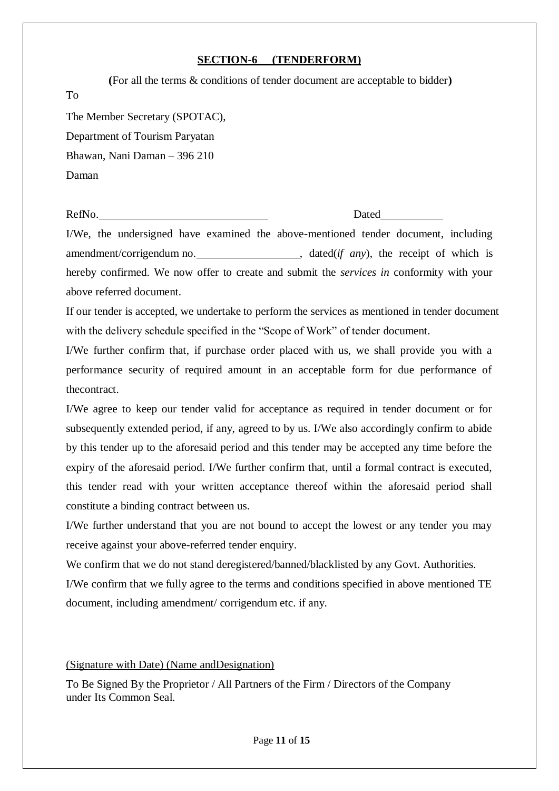#### **SECTION-6 (TENDERFORM)**

| (For all the terms & conditions of tender document are acceptable to bidder) |
|------------------------------------------------------------------------------|
| To                                                                           |
| The Member Secretary (SPOTAC),                                               |
| Department of Tourism Paryatan                                               |
| Bhawan, Nani Daman - 396 210                                                 |
| Daman                                                                        |
|                                                                              |

RefNo. Dated

I/We, the undersigned have examined the above-mentioned tender document, including amendment/corrigendum no. \_\_\_\_\_\_\_\_\_\_\_\_\_\_\_\_\_\_\_\_\_\_, dated(*if any*), the receipt of which is hereby confirmed. We now offer to create and submit the *services in* conformity with your above referred document.

If our tender is accepted, we undertake to perform the services as mentioned in tender document with the delivery schedule specified in the "Scope of Work" of tender document.

I/We further confirm that, if purchase order placed with us, we shall provide you with a performance security of required amount in an acceptable form for due performance of thecontract.

I/We agree to keep our tender valid for acceptance as required in tender document or for subsequently extended period, if any, agreed to by us. I/We also accordingly confirm to abide by this tender up to the aforesaid period and this tender may be accepted any time before the expiry of the aforesaid period. I/We further confirm that, until a formal contract is executed, this tender read with your written acceptance thereof within the aforesaid period shall constitute a binding contract between us.

I/We further understand that you are not bound to accept the lowest or any tender you may receive against your above-referred tender enquiry.

We confirm that we do not stand deregistered/banned/blacklisted by any Govt. Authorities. I/We confirm that we fully agree to the terms and conditions specified in above mentioned TE document, including amendment/ corrigendum etc. if any.

#### (Signature with Date) (Name andDesignation)

To Be Signed By the Proprietor / All Partners of the Firm / Directors of the Company under Its Common Seal.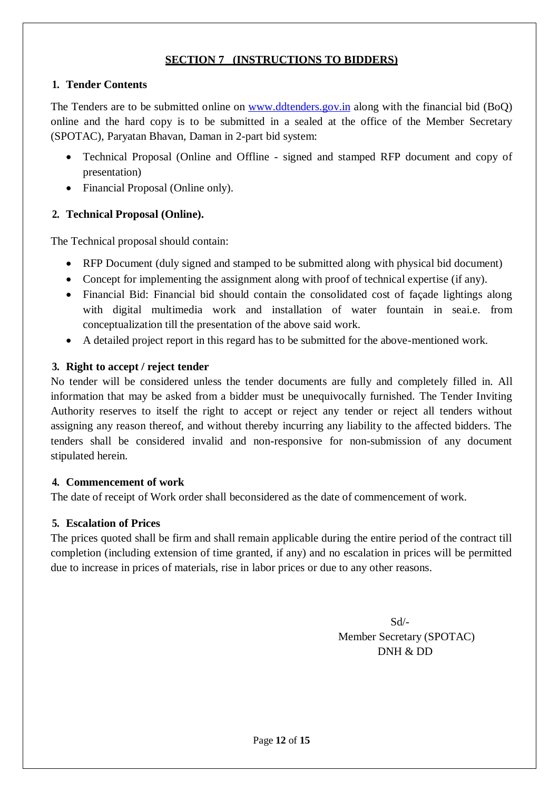#### **SECTION 7 (INSTRUCTIONS TO BIDDERS)**

#### **1. Tender Contents**

The Tenders are to be submitted online on [www.ddtenders.gov.in](http://www.ddtenders.gov.in/) along with the financial bid (BoQ) online and the hard copy is to be submitted in a sealed at the office of the Member Secretary (SPOTAC), Paryatan Bhavan, Daman in 2-part bid system:

- Technical Proposal (Online and Offline signed and stamped RFP document and copy of presentation)
- Financial Proposal (Online only).

#### **2. Technical Proposal (Online).**

The Technical proposal should contain:

- RFP Document (duly signed and stamped to be submitted along with physical bid document)
- Concept for implementing the assignment along with proof of technical expertise (if any).
- Financial Bid: Financial bid should contain the consolidated cost of façade lightings along with digital multimedia work and installation of water fountain in seai.e. from conceptualization till the presentation of the above said work.
- A detailed project report in this regard has to be submitted for the above-mentioned work.

#### **3. Right to accept / reject tender**

No tender will be considered unless the tender documents are fully and completely filled in. All information that may be asked from a bidder must be unequivocally furnished. The Tender Inviting Authority reserves to itself the right to accept or reject any tender or reject all tenders without assigning any reason thereof, and without thereby incurring any liability to the affected bidders. The tenders shall be considered invalid and non-responsive for non-submission of any document stipulated herein.

#### **4. Commencement of work**

The date of receipt of Work order shall beconsidered as the date of commencement of work.

#### **5. Escalation of Prices**

The prices quoted shall be firm and shall remain applicable during the entire period of the contract till completion (including extension of time granted, if any) and no escalation in prices will be permitted due to increase in prices of materials, rise in labor prices or due to any other reasons.

> Sd/- Member Secretary (SPOTAC) DNH & DD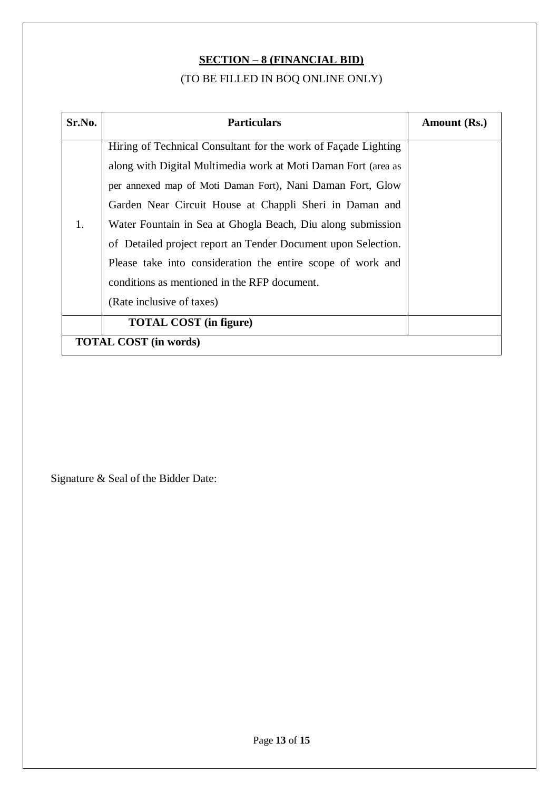# **SECTION – 8 (FINANCIAL BID)**

## (TO BE FILLED IN BOQ ONLINE ONLY)

| Sr.No.                       | <b>Particulars</b>                                             | Amount (Rs.) |  |  |
|------------------------------|----------------------------------------------------------------|--------------|--|--|
|                              | Hiring of Technical Consultant for the work of Façade Lighting |              |  |  |
|                              | along with Digital Multimedia work at Moti Daman Fort (area as |              |  |  |
|                              | per annexed map of Moti Daman Fort), Nani Daman Fort, Glow     |              |  |  |
|                              | Garden Near Circuit House at Chappli Sheri in Daman and        |              |  |  |
| 1.                           | Water Fountain in Sea at Ghogla Beach, Diu along submission    |              |  |  |
|                              | of Detailed project report an Tender Document upon Selection.  |              |  |  |
|                              | Please take into consideration the entire scope of work and    |              |  |  |
|                              | conditions as mentioned in the RFP document.                   |              |  |  |
|                              | (Rate inclusive of taxes)                                      |              |  |  |
|                              | <b>TOTAL COST</b> (in figure)                                  |              |  |  |
| <b>TOTAL COST</b> (in words) |                                                                |              |  |  |

Signature & Seal of the Bidder Date: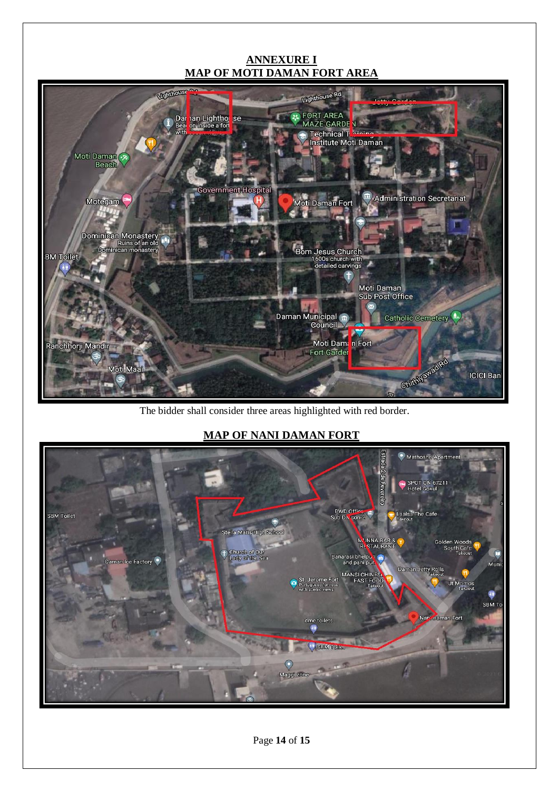#### **ANNEXURE I MAP OF MOTI DAMAN FORT AREA**



The bidder shall consider three areas highlighted with red border.

## **MAP OF NANI DAMAN FORT**